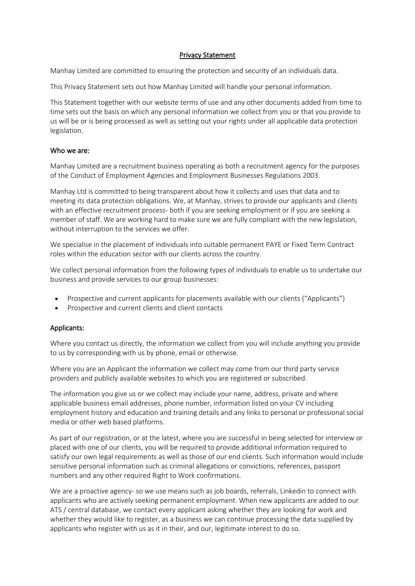#### Privacy Statement

Manhay Limited are committed to ensuring the protection and security of an individuals data.

This Privacy Statement sets out how Manhay Limited will handle your personal information.

This Statement together with [our website terms of use](https://bostonrose.co.uk/terms-and-conditions) and any other documents added from time to time sets out the basis on which any personal information we collect from you or that you provide to us will be or is being processed as well as setting out your rights under all applicable data protection legislation.

## Who we are:

Manhay Limited are a recruitment business operating as both a recruitment agency for the purposes of the Conduct of Employment Agencies and Employment Businesses Regulations 2003.

Manhay Ltd is committed to being transparent about how it collects and uses that data and to meeting its data protection obligations. We, at Manhay, strives to provide our applicants and clients with an effective recruitment process- both if you are seeking employment or if you are seeking a member of staff. We are working hard to make sure we are fully compliant with the new legislation, without interruption to the services we offer.

We specialise in the placement of individuals into suitable permanent PAYE or Fixed Term Contract roles within the education sector with our clients across the country.

We collect personal information from the following types of individuals to enable us to undertake our business and provide services to our group businesses:

- Prospective and current applicants for placements available with our clients ("Applicants")
- Prospective and current clients and client contacts

# Applicants:

Where you contact us directly, the information we collect from you will include anything you provide to us by corresponding with us by phone, email or otherwise.

Where you are an Applicant the information we collect may come from our third party service providers and publicly available websites to which you are registered or subscribed.

The information you give us or we collect may include your name, address, private and where applicable business email addresses, phone number, information listed on your CV including employment history and education and training details and any links to personal or professional social media or other web based platforms.

As part of our registration, or at the latest, where you are successful in being selected for interview or placed with one of our clients, you will be required to provide additional information required to satisfy our own legal requirements as well as those of our end clients. Such information would include sensitive personal information such as criminal allegations or convictions, references, passport numbers and any other required Right to Work confirmations.

We are a proactive agency- so we use means such as job boards, referrals, Linkedin to connect with applicants who are actively seeking permanent employment. When new applicants are added to our ATS / central database, we contact every applicant asking whether they are looking for work and whether they would like to register, as a business we can continue processing the data supplied by applicants who register with us as it in their, and our, legitimate interest to do so.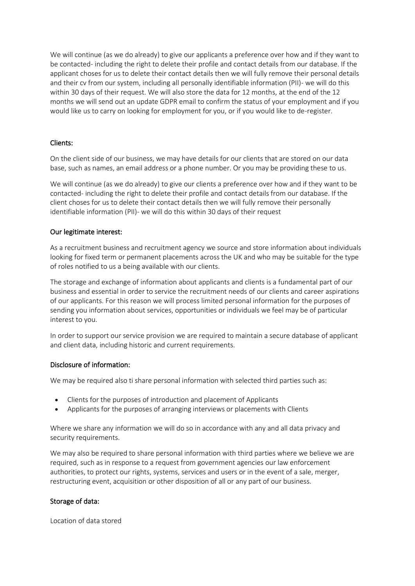We will continue (as we do already) to give our applicants a preference over how and if they want to be contacted- including the right to delete their profile and contact details from our database. If the applicant choses for us to delete their contact details then we will fully remove their personal details and their cv from our system, including all personally identifiable information (PII)- we will do this within 30 days of their request. We will also store the data for 12 months, at the end of the 12 months we will send out an update GDPR email to confirm the status of your employment and if you would like us to carry on looking for employment for you, or if you would like to de-register.

# Clients:

On the client side of our business, we may have details for our clients that are stored on our data base, such as names, an email address or a phone number. Or you may be providing these to us.

We will continue (as we do already) to give our clients a preference over how and if they want to be contacted- including the right to delete their profile and contact details from our database. If the client choses for us to delete their contact details then we will fully remove their personally identifiable information (PII)- we will do this within 30 days of their request

# Our legitimate interest:

As a recruitment business and recruitment agency we source and store information about individuals looking for fixed term or permanent placements across the UK and who may be suitable for the type of roles notified to us a being available with our clients.

The storage and exchange of information about applicants and clients is a fundamental part of our business and essential in order to service the recruitment needs of our clients and career aspirations of our applicants. For this reason we will process limited personal information for the purposes of sending you information about services, opportunities or individuals we feel may be of particular interest to you.

In order to support our service provision we are required to maintain a secure database of applicant and client data, including historic and current requirements.

# Disclosure of information:

We may be required also ti share personal information with selected third parties such as:

- Clients for the purposes of introduction and placement of Applicants
- Applicants for the purposes of arranging interviews or placements with Clients

Where we share any information we will do so in accordance with any and all data privacy and security requirements.

We may also be required to share personal information with third parties where we believe we are required, such as in response to a request from government agencies our law enforcement authorities, to protect our rights, systems, services and users or in the event of a sale, merger, restructuring event, acquisition or other disposition of all or any part of our business.

# Storage of data:

Location of data stored